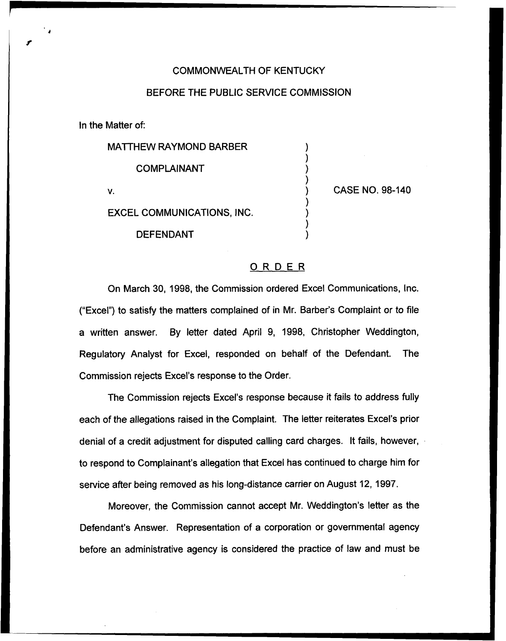## COMMONWEALTH OF KENTUCKY

## BEFORE THE PUBLIC SERVICE COMMISSION

In the Matter of:

MATTHEW RAYMOND BARBER

COMPLAINANT

V.

CASE NO. 98-140

EXCEL COMMUNICATIONS, INC.

DEFENDANT

## ORDER

On March 30, 1998, the Commission ordered Excel Communications, lnc. ("Excel") to satisfy the matters complained of in Mr. Barber's Complaint or to file a written answer. By letter dated April 9, 1998, Christopher Weddington, Regulatory Analyst for Excel, responded on behalf of the Defendant. The Commission rejects Excel's response to the Order.

The Commission rejects Excel's response because it fails to address fully each of the allegations raised in the Complaint. The letter reiterates Excel's prior denial of a credit adjustment for disputed calling card charges. It fails, however, to respond to Complainant's allegation that Excel has continued to charge him for service after being removed as his long-distance carrier on August 12, 1997.

Moreover, the Commission cannot accept Mr. Weddington's letter as the Defendant's Answer. Representation of a corporation or governmental agency before an administrative agency is considered the practice of law and must be